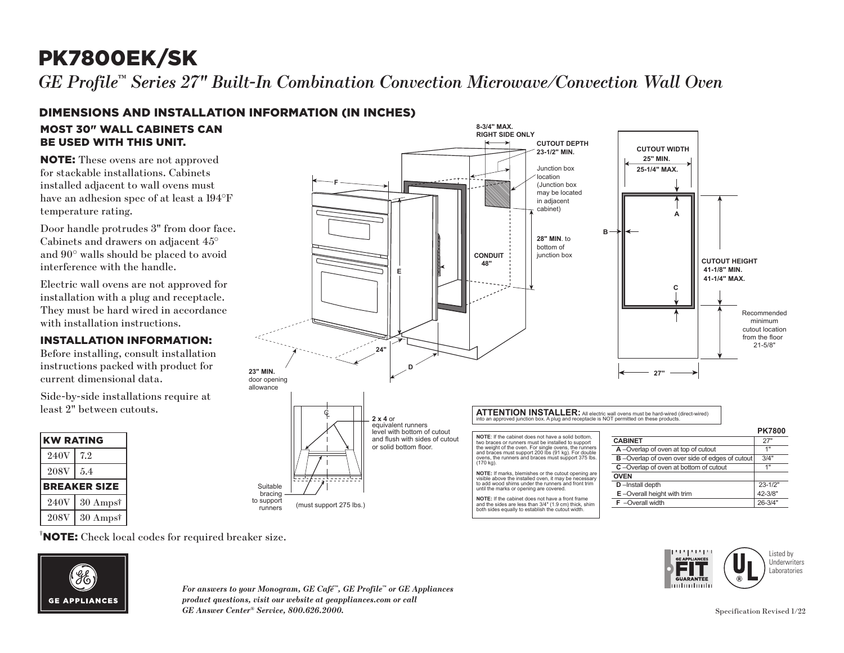# PK7800EK/SK

*GE Profile™ Series 27" Built-In Combination Convection Microwave/Convection Wall Oven*

### DIMENSIONS AND INSTALLATION INFORMATION (IN INCHES)

#### MOST 30" WALL CABINETS CAN BE USED WITH THIS UNIT.

NOTE: These ovens are not approved for stackable installations. Cabinets installed adjacent to wall ovens must have an adhesion spec of at least a 194°F temperature rating.

Door handle protrudes 3" from door face. Cabinets and drawers on adjacent 45° and 90° walls should be placed to avoid interference with the handle.

Electric wall ovens are not approved for installation with a plug and receptacle. They must be hard wired in accordance with installation instructions.

#### INSTALLATION INFORMATION:

Before installing, consult installation instructions packed with product for current dimensional data.

Side-by-side installations require at least 2" between cutouts.

| <b>KW RATING</b>    |                     |
|---------------------|---------------------|
| 240V                | 7.2                 |
| <b>208V</b>         | 5.4                 |
| <b>BREAKER SIZE</b> |                     |
|                     |                     |
| 240V                | $30 \text{ Amps}^*$ |



<sup>†</sup>NOTE: Check local codes for required breaker size.



*For answers to your Monogram, GE Café™, GE Profile™ or GE Appliances product questions, visit our website at geappliances.com or call GE Answer Center® Service, 800.626.2000.* Specification Revised 1/22